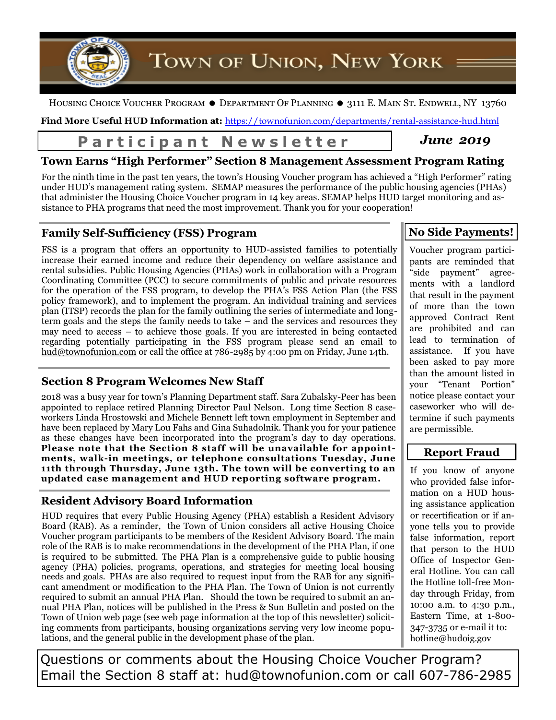

HOUSING CHOICE VOUCHER PROGRAM  $\bullet$  DEPARTMENT OF PLANNING  $\bullet$  3111 E. MAIN ST. ENDWELL, NY 13760

**Find More Useful HUD Information at:** <https://townofunion.com/departments/rental-assistance-hud.html>

# Participant Newsletter | June 2019

## **Town Earns "High Performer" Section 8 Management Assessment Program Rating**

For the ninth time in the past ten years, the town's Housing Voucher program has achieved a "High Performer" rating under HUD's management rating system. SEMAP measures the performance of the public housing agencies (PHAs) that administer the Housing Choice Voucher program in 14 key areas. SEMAP helps HUD target monitoring and assistance to PHA programs that need the most improvement. Thank you for your cooperation!

## **Family Self-Sufficiency (FSS) Program**

FSS is a program that offers an opportunity to HUD-assisted families to potentially increase their earned income and reduce their dependency on welfare assistance and rental subsidies. Public Housing Agencies (PHAs) work in collaboration with a Program Coordinating Committee (PCC) to secure commitments of public and private resources for the operation of the FSS program, to develop the PHA's FSS Action Plan (the FSS policy framework), and to implement the program. An individual training and services plan (ITSP) records the plan for the family outlining the series of intermediate and longterm goals and the steps the family needs to take – and the services and resources they may need to access – to achieve those goals. If you are interested in being contacted regarding potentially participating in the FSS program please send an email to hud@townofunion.com or call the office at 786-2985 by 4:00 pm on Friday, June 14th.

## **Section 8 Program Welcomes New Staff**

2018 was a busy year for town's Planning Department staff. Sara Zubalsky-Peer has been appointed to replace retired Planning Director Paul Nelson. Long time Section 8 caseworkers Linda Hrostowski and Michele Bennett left town employment in September and have been replaced by Mary Lou Fahs and Gina Suhadolnik. Thank you for your patience as these changes have been incorporated into the program's day to day operations. **Please note that the Section 8 staff will be unavailable for appointments, walk-in meetings, or telephone consultations Tuesday, June 11th through Thursday, June 13th. The town will be converting to an updated case management and HUD reporting software program.**

## **Resident Advisory Board Information**

HUD requires that every Public Housing Agency (PHA) establish a Resident Advisory Board (RAB). As a reminder, the Town of Union considers all active Housing Choice Voucher program participants to be members of the Resident Advisory Board. The main role of the RAB is to make recommendations in the development of the PHA Plan, if one is required to be submitted. The PHA Plan is a comprehensive guide to public housing agency (PHA) policies, programs, operations, and strategies for meeting local housing needs and goals. PHAs are also required to request input from the RAB for any significant amendment or modification to the PHA Plan. The Town of Union is not currently required to submit an annual PHA Plan. Should the town be required to submit an annual PHA Plan, notices will be published in the Press & Sun Bulletin and posted on the Town of Union web page (see web page information at the top of this newsletter) soliciting comments from participants, housing organizations serving very low income populations, and the general public in the development phase of the plan.

## **No Side Payments!**

Voucher program participants are reminded that "side payment" agreements with a landlord that result in the payment of more than the town approved Contract Rent are prohibited and can lead to termination of assistance. If you have been asked to pay more than the amount listed in your "Tenant Portion" notice please contact your caseworker who will determine if such payments are permissible.

## **Report Fraud**

If you know of anyone who provided false information on a HUD housing assistance application or recertification or if anyone tells you to provide false information, report that person to the HUD Office of Inspector General Hotline. You can call the Hotline toll-free Monday through Friday, from 10:00 a.m. to 4:30 p.m., Eastern Time, at 1-800- 347-3735 or e-mail it to: hotline@hudoig.gov

Questions or comments about the Housing Choice Voucher Program? Email the Section 8 staff at: hud@townofunion.com or call 607-786-2985